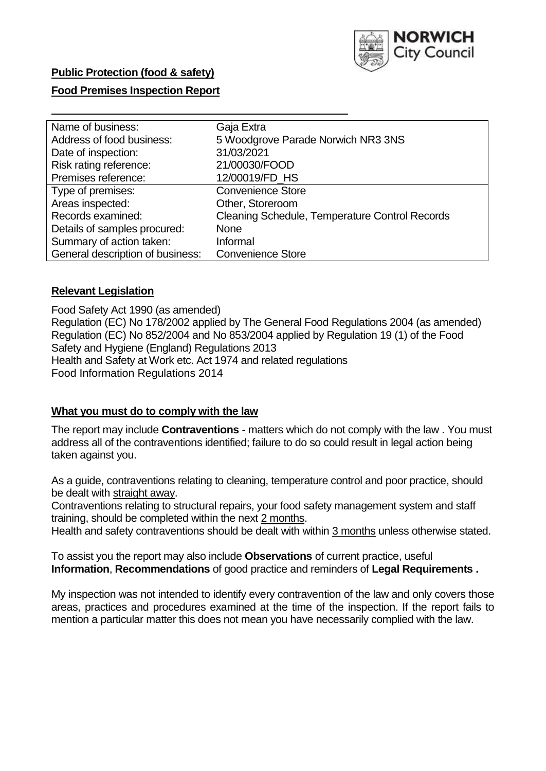

## **Public Protection (food & safety)**

## **Food Premises Inspection Report**

| Name of business:                | Gaja Extra                                            |
|----------------------------------|-------------------------------------------------------|
| Address of food business:        | 5 Woodgrove Parade Norwich NR3 3NS                    |
| Date of inspection:              | 31/03/2021                                            |
| Risk rating reference:           | 21/00030/FOOD                                         |
| Premises reference:              | 12/00019/FD_HS                                        |
| Type of premises:                | <b>Convenience Store</b>                              |
| Areas inspected:                 | Other, Storeroom                                      |
| Records examined:                | <b>Cleaning Schedule, Temperature Control Records</b> |
| Details of samples procured:     | <b>None</b>                                           |
| Summary of action taken:         | Informal                                              |
| General description of business: | <b>Convenience Store</b>                              |

### **Relevant Legislation**

 Food Safety Act 1990 (as amended) Regulation (EC) No 178/2002 applied by The General Food Regulations 2004 (as amended) Regulation (EC) No 852/2004 and No 853/2004 applied by Regulation 19 (1) of the Food Safety and Hygiene (England) Regulations 2013 Health and Safety at Work etc. Act 1974 and related regulations Food Information Regulations 2014

#### **What you must do to comply with the law**

 The report may include **Contraventions** - matters which do not comply with the law . You must address all of the contraventions identified; failure to do so could result in legal action being taken against you.

 As a guide, contraventions relating to cleaning, temperature control and poor practice, should be dealt with straight away.

 Contraventions relating to structural repairs, your food safety management system and staff training, should be completed within the next 2 months.

Health and safety contraventions should be dealt with within 3 months unless otherwise stated.

 To assist you the report may also include **Observations** of current practice, useful **Information**, **Recommendations** of good practice and reminders of **Legal Requirements .** 

 My inspection was not intended to identify every contravention of the law and only covers those areas, practices and procedures examined at the time of the inspection. If the report fails to mention a particular matter this does not mean you have necessarily complied with the law.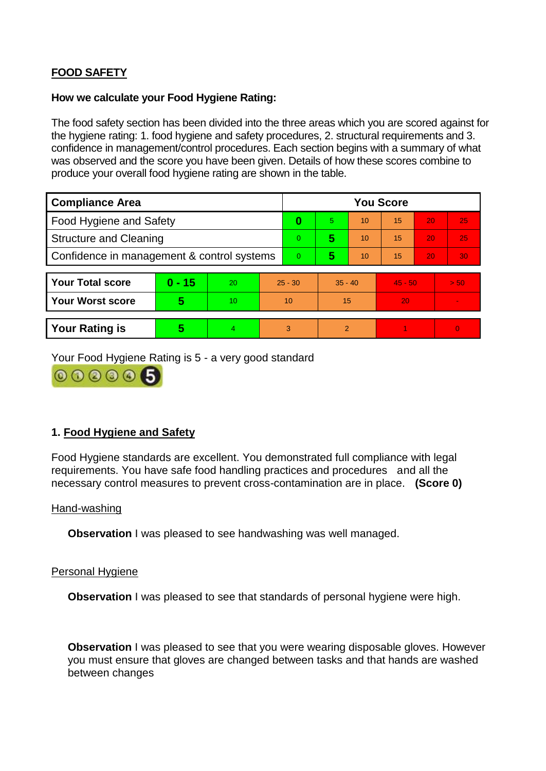# **FOOD SAFETY**

#### **How we calculate your Food Hygiene Rating:**

 The food safety section has been divided into the three areas which you are scored against for the hygiene rating: 1. food hygiene and safety procedures, 2. structural requirements and 3. confidence in management/control procedures. Each section begins with a summary of what was observed and the score you have been given. Details of how these scores combine to produce your overall food hygiene rating are shown in the table.

| <b>Compliance Area</b>                     |          |    |                | <b>You Score</b> |                |    |           |    |                |  |  |
|--------------------------------------------|----------|----|----------------|------------------|----------------|----|-----------|----|----------------|--|--|
| Food Hygiene and Safety                    |          |    | 0              | 5.               | 10             | 15 | 20        | 25 |                |  |  |
| <b>Structure and Cleaning</b>              |          |    | $\overline{0}$ | 5                | 10             | 15 | 20        | 25 |                |  |  |
| Confidence in management & control systems |          |    | $\Omega$       | 5                | 10             | 15 | 20        | 30 |                |  |  |
|                                            |          |    |                |                  |                |    |           |    |                |  |  |
| <b>Your Total score</b>                    | $0 - 15$ | 20 | $25 - 30$      |                  | $35 - 40$      |    | $45 - 50$ |    | > 50           |  |  |
| <b>Your Worst score</b>                    | 5        | 10 | 10             |                  | 15             |    | 20        |    | $\blacksquare$ |  |  |
|                                            |          |    |                |                  |                |    |           |    |                |  |  |
| <b>Your Rating is</b>                      | 5        | 4  | 3              |                  | $\overline{2}$ |    |           |    | $\Omega$       |  |  |

Your Food Hygiene Rating is 5 - a very good standard



# **1. Food Hygiene and Safety**

 requirements. You have safe food handling practices and procedures and all the Food Hygiene standards are excellent. You demonstrated full compliance with legal necessary control measures to prevent cross-contamination are in place. **(Score 0)** 

#### Hand-washing

**Observation** I was pleased to see handwashing was well managed.

#### Personal Hygiene

**Observation** I was pleased to see that standards of personal hygiene were high.

**Observation** I was pleased to see that you were wearing disposable gloves. However you must ensure that gloves are changed between tasks and that hands are washed between changes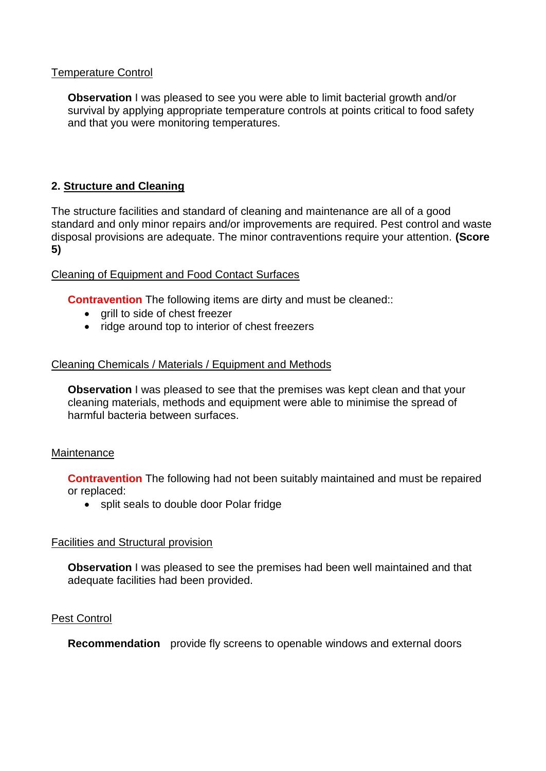### Temperature Control

 survival by applying appropriate temperature controls at points critical to food safety **Observation** I was pleased to see you were able to limit bacterial growth and/or and that you were monitoring temperatures.

# **2. Structure and Cleaning**

The structure facilities and standard of cleaning and maintenance are all of a good standard and only minor repairs and/or improvements are required. Pest control and waste disposal provisions are adequate. The minor contraventions require your attention. **(Score 5)** 

### Cleaning of Equipment and Food Contact Surfaces

**Contravention** The following items are dirty and must be cleaned::

- qrill to side of chest freezer
- ridge around top to interior of chest freezers

### Cleaning Chemicals / Materials / Equipment and Methods

 cleaning materials, methods and equipment were able to minimise the spread of **Observation** I was pleased to see that the premises was kept clean and that your harmful bacteria between surfaces.

#### **Maintenance**

**Contravention** The following had not been suitably maintained and must be repaired or replaced:

• split seals to double door Polar fridge

#### Facilities and Structural provision

 **Observation** I was pleased to see the premises had been well maintained and that adequate facilities had been provided.

### Pest Control

**Recommendation** provide fly screens to openable windows and external doors